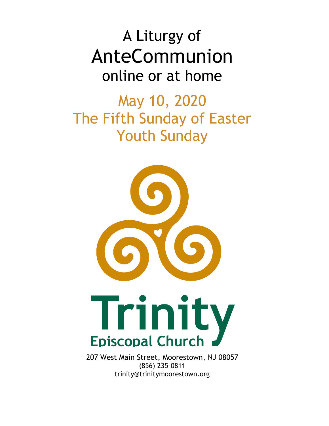# A Liturgy of AnteCommunion online or at home

May 10, 2020 The Fifth Sunday of Easter Youth Sunday





207 West Main Street, Moorestown, NJ 08057 (856) 235-0811 trinity@trinitymoorestown.org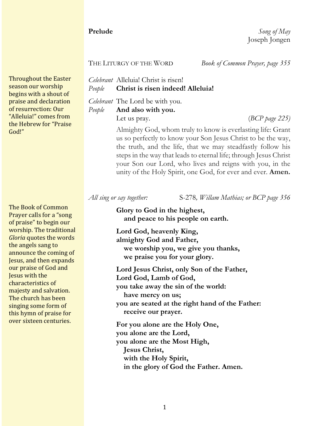**Prelude** *Song of May* Joseph Jongen

THE LITURGY OF THE WORD *Book of Common Prayer, page 355*

*Celebrant* Alleluia! Christ is risen! *People* **Christ is risen indeed! Alleluia!** *Celebrant* The Lord be with you.

*People* **And also with you.** Let us pray. (*BCP page 225)*

Almighty God, whom truly to know is everlasting life: Grant us so perfectly to know your Son Jesus Christ to be the way, the truth, and the life, that we may steadfastly follow his steps in the way that leads to eternal life; through Jesus Christ your Son our Lord, who lives and reigns with you, in the unity of the Holy Spirit, one God, for ever and ever. **Amen.**

*All sing or say together:* S-278*, Willam Mathias; or BCP page 356*

**Glory to God in the highest, and peace to his people on earth.**

**Lord God, heavenly King, almighty God and Father, we worship you, we give you thanks, we praise you for your glory.**

**Lord Jesus Christ, only Son of the Father, Lord God, Lamb of God, you take away the sin of the world: have mercy on us; you are seated at the right hand of the Father: receive our prayer.**

**For you alone are the Holy One, you alone are the Lord, you alone are the Most High, Jesus Christ, with the Holy Spirit, in the glory of God the Father. Amen.**

**Throughout the Easter** season our worship begins with a shout of praise and declaration of resurrection: Our "Alleluia!" comes from the Hebrew for "Praise" God!"

The Book of Common Prayer calls for a "song" of praise" to begin our worship. The traditional *Gloria* quotes the words the angels sang to announce the coming of Jesus, and then expands our praise of God and **Jesus** with the characteristics of majesty and salvation. The church has been singing some form of this hymn of praise for over sixteen centuries.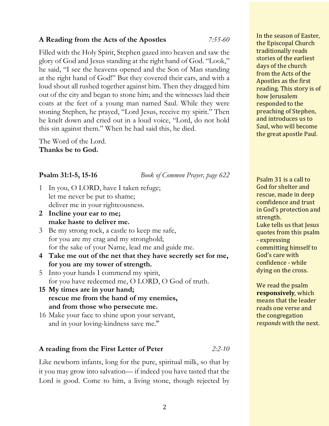# **A Reading from the Acts of the Apostles** *7:55-60*

Filled with the Holy Spirit, Stephen gazed into heaven and saw the glory of God and Jesus standing at the right hand of God. "Look," he said, "I see the heavens opened and the Son of Man standing at the right hand of God!" But they covered their ears, and with a loud shout all rushed together against him. Then they dragged him out of the city and began to stone him; and the witnesses laid their coats at the feet of a young man named Saul. While they were stoning Stephen, he prayed, "Lord Jesus, receive my spirit." Then he knelt down and cried out in a loud voice, "Lord, do not hold this sin against them." When he had said this, he died.

The Word of the Lord. **Thanks be to God.**

**Psalm 31:1-5, 15-16** *Book of Common Prayer, page 622*

- 1 In you, O LORD, have I taken refuge; let me never be put to shame; deliver me in your righteousness.
- **2 Incline your ear to me; make haste to deliver me.**
- 3 Be my strong rock, a castle to keep me safe, for you are my crag and my stronghold; for the sake of your Name, lead me and guide me.
- **4 Take me out of the net that they have secretly set for me, for you are my tower of strength.**
- 5 Into your hands I commend my spirit, for you have redeemed me, O LORD, O God of truth.
- **15 My times are in your hand; rescue me from the hand of my enemies, and from those who persecute me.**
- 16 Make your face to shine upon your servant, and in your loving-kindness save me."

# **A reading from the First Letter of Peter** *2:2-10*

Like newborn infants, long for the pure, spiritual milk, so that by it you may grow into salvation— if indeed you have tasted that the Lord is good. Come to him, a living stone, though rejected by In the season of Easter, the Episcopal Church traditionally reads stories of the earliest days of the church from the Acts of the Apostles as the first reading. This story is of how Jerusalem responded to the preaching of Stephen, and introduces us to Saul, who will become the great apostle Paul.

Psalm 31 is a call to God for shelter and rescue, made in deep comfidence and trust in God's protection and strength. Luke tells us that Jesus quotes from this psalm - expressing committing himself to God's care with confidence - while dying on the cross.

We read the psalm **responsively**, which means that the leader reads one verse and the congregation *responds* with the next.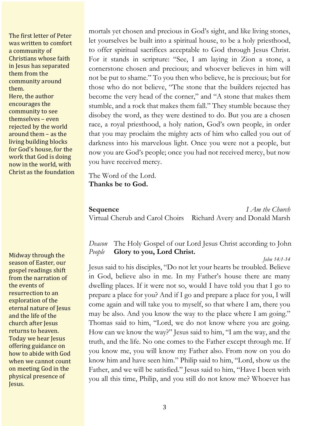The first letter of Peter was written to comfort a community of Christians whose faith in Jesus has separated them from the community around them.

Here, the author encourages the community to see themselves - even rejected by the world around them  $-$  as the living building blocks for God's house, for the work that God is doing now in the world, with Christ as the foundation

Midway through the season of Easter, our gospel readings shift from the narration of the events of resurrection to an exploration of the eternal nature of Jesus and the life of the church after Jesus returns to heaven. Today we hear Jesus offering guidance on how to abide with God when we cannot count on meeting God in the physical presence of Jesus.

mortals yet chosen and precious in God's sight, and like living stones, let yourselves be built into a spiritual house, to be a holy priesthood, to offer spiritual sacrifices acceptable to God through Jesus Christ. For it stands in scripture: "See, I am laying in Zion a stone, a cornerstone chosen and precious; and whoever believes in him will not be put to shame." To you then who believe, he is precious; but for those who do not believe, "The stone that the builders rejected has become the very head of the corner," and "A stone that makes them stumble, and a rock that makes them fall." They stumble because they disobey the word, as they were destined to do. But you are a chosen race, a royal priesthood, a holy nation, God's own people, in order that you may proclaim the mighty acts of him who called you out of darkness into his marvelous light. Once you were not a people, but now you are God's people; once you had not received mercy, but now you have received mercy.

The Word of the Lord. **Thanks be to God.**

**Sequence** *I Am the Church* Virtual Cherub and Carol Choirs Richard Avery and Donald Marsh

# *Deacon* The Holy Gospel of our Lord Jesus Christ according to John *People* **Glory to you, Lord Christ.**

*John 14:1-14* Jesus said to his disciples, "Do not let your hearts be troubled. Believe in God, believe also in me. In my Father's house there are many dwelling places. If it were not so, would I have told you that I go to prepare a place for you? And if I go and prepare a place for you, I will come again and will take you to myself, so that where I am, there you may be also. And you know the way to the place where I am going." Thomas said to him, "Lord, we do not know where you are going. How can we know the way?" Jesus said to him, "I am the way, and the truth, and the life. No one comes to the Father except through me. If you know me, you will know my Father also. From now on you do know him and have seen him." Philip said to him, "Lord, show us the Father, and we will be satisfied." Jesus said to him, "Have I been with you all this time, Philip, and you still do not know me? Whoever has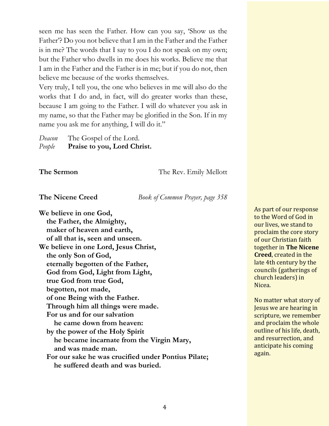seen me has seen the Father. How can you say, 'Show us the Father'? Do you not believe that I am in the Father and the Father is in me? The words that I say to you I do not speak on my own; but the Father who dwells in me does his works. Believe me that I am in the Father and the Father is in me; but if you do not, then believe me because of the works themselves.

Very truly, I tell you, the one who believes in me will also do the works that I do and, in fact, will do greater works than these, because I am going to the Father. I will do whatever you ask in my name, so that the Father may be glorified in the Son. If in my name you ask me for anything, I will do it."

*Deacon* The Gospel of the Lord. *People* **Praise to you, Lord Christ.**

**The Sermon** The Rev. Emily Mellott

**The Nicene Creed** *Book of Common Prayer, page 358*

**We believe in one God, the Father, the Almighty, maker of heaven and earth, of all that is, seen and unseen. We believe in one Lord, Jesus Christ, the only Son of God, eternally begotten of the Father, God from God, Light from Light, true God from true God, begotten, not made, of one Being with the Father. Through him all things were made. For us and for our salvation he came down from heaven: by the power of the Holy Spirit he became incarnate from the Virgin Mary, and was made man. For our sake he was crucified under Pontius Pilate; he suffered death and was buried.**

As part of our response to the Word of God in our lives, we stand to proclaim the core story of our Christian faith **together in The Nicene Creed**, created in the late 4th century by the councils (gatherings of church leaders) in Nicea. 

No matter what story of Jesus we are hearing in scripture, we remember and proclaim the whole outline of his life, death, and resurrection, and anticipate his coming again.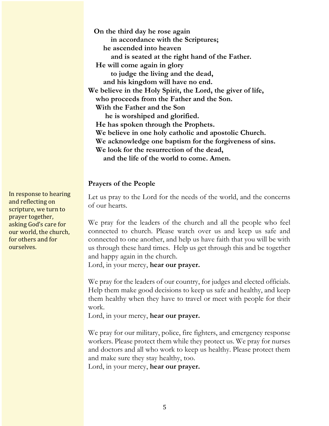**On the third day he rose again in accordance with the Scriptures; he ascended into heaven and is seated at the right hand of the Father. He will come again in glory to judge the living and the dead, and his kingdom will have no end. We believe in the Holy Spirit, the Lord, the giver of life, who proceeds from the Father and the Son. With the Father and the Son he is worshiped and glorified. He has spoken through the Prophets. We believe in one holy catholic and apostolic Church. We acknowledge one baptism for the forgiveness of sins. We look for the resurrection of the dead, and the life of the world to come. Amen.**

# **Prayers of the People**

Let us pray to the Lord for the needs of the world, and the concerns of our hearts.

We pray for the leaders of the church and all the people who feel connected to church. Please watch over us and keep us safe and connected to one another, and help us have faith that you will be with us through these hard times. Help us get through this and be together and happy again in the church.

Lord, in your mercy, **hear our prayer.**

We pray for the leaders of our country, for judges and elected officials. Help them make good decisions to keep us safe and healthy, and keep them healthy when they have to travel or meet with people for their work.

Lord, in your mercy, **hear our prayer.**

We pray for our military, police, fire fighters, and emergency response workers. Please protect them while they protect us. We pray for nurses and doctors and all who work to keep us healthy. Please protect them and make sure they stay healthy, too.

Lord, in your mercy, **hear our prayer.**

In response to hearing and reflecting on scripture, we turn to prayer together, asking God's care for our world, the church, for others and for ourselves.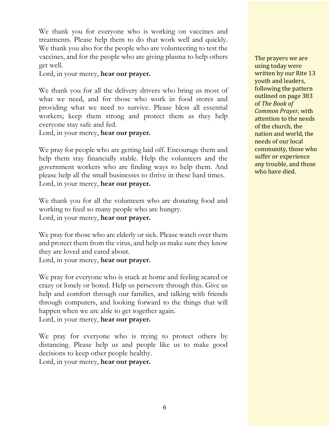We thank you for everyone who is working on vaccines and treatments. Please help them to do that work well and quickly. We thank you also for the people who are volunteering to test the vaccines, and for the people who are giving plasma to help others get well.

Lord, in your mercy, **hear our prayer.**

We thank you for all the delivery drivers who bring us most of what we need, and for those who work in food stores and providing what we need to survive. Please bless all essential workers; keep them strong and protect them as they help everyone stay safe and fed.

Lord, in your mercy, **hear our prayer.**

We pray for people who are getting laid off. Encourage them and help them stay financially stable. Help the volunteers and the government workers who are finding ways to help them. And please help all the small businesses to thrive in these hard times. Lord, in your mercy, **hear our prayer.**

We thank you for all the volunteers who are donating food and working to feed so many people who are hungry. Lord, in your mercy, **hear our prayer.**

We pray for those who are elderly or sick. Please watch over them and protect them from the virus, and help us make sure they know they are loved and cared about. Lord, in your mercy, **hear our prayer.**

We pray for everyone who is stuck at home and feeling scared or crazy or lonely or bored. Help us persevere through this. Give us help and comfort through our families, and talking with friends through computers, and looking forward to the things that will happen when we are able to get together again. Lord, in your mercy, **hear our prayer.**

We pray for everyone who is trying to protect others by distancing. Please help us and people like us to make good decisions to keep other people healthy.

Lord, in your mercy, **hear our prayer.**

The prayers we are using today were written by our Rite 13 youth and leaders, following the pattern outlined on page 383 of *The Book of Common Prayer,* with attention to the needs of the church, the nation and world, the needs of our local community, those who suffer or experience any trouble, and those who have died.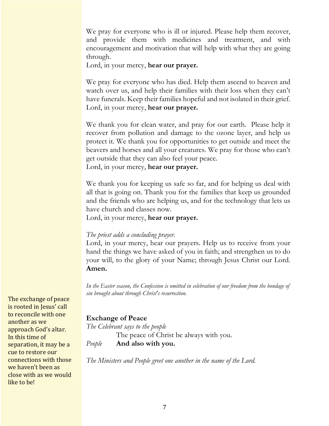We pray for everyone who is ill or injured. Please help them recover, and provide them with medicines and treatment, and with encouragement and motivation that will help with what they are going through.

Lord, in your mercy, **hear our prayer.**

We pray for everyone who has died. Help them ascend to heaven and watch over us, and help their families with their loss when they can't have funerals. Keep their families hopeful and not isolated in their grief. Lord, in your mercy, **hear our prayer.**

We thank you for clean water, and pray for our earth. Please help it recover from pollution and damage to the ozone layer, and help us protect it. We thank you for opportunities to get outside and meet the beavers and horses and all your creatures. We pray for those who can't get outside that they can also feel your peace.

Lord, in your mercy, **hear our prayer.**

We thank you for keeping us safe so far, and for helping us deal with all that is going on. Thank you for the families that keep us grounded and the friends who are helping us, and for the technology that lets us have church and classes now.

Lord, in your mercy, **hear our prayer.**

### *The priest adds a concluding prayer.*

Lord, in your mercy, hear our prayers. Help us to receive from your hand the things we have asked of you in faith; and strengthen us to do your will, to the glory of your Name; through Jesus Christ our Lord. **Amen.**

*In the Easter season, the Confession is omitted in celebration of our freedom from the bondage of sin brought about through Christ's resurrection.*

### **Exchange of Peace**

*The Celebrant says to the people* The peace of Christ be always with you. *People* **And also with you.**

*The Ministers and People greet one another in the name of the Lord.*

The exchange of peace is rooted in Jesus' call to reconcile with one another as we approach God's altar. In this time of separation, it may be a cue to restore our connections with those we haven't been as close with as we would like to be!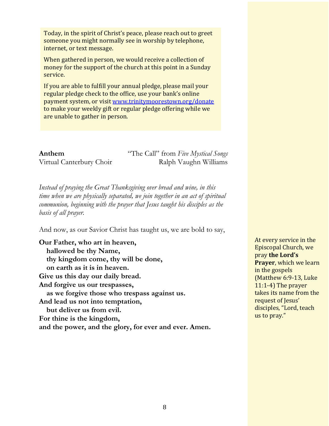Today, in the spirit of Christ's peace, please reach out to greet someone you might normally see in worship by telephone, internet, or text message.

When gathered in person, we would receive a collection of money for the support of the church at this point in a Sunday service.

If you are able to fulfill your annual pledge, please mail your regular pledge check to the office, use your bank's online payment system, or visit www.trinitymoorestown.org/donate to make your weekly gift or regular pledge offering while we are unable to gather in person.

**Anthem** "The Call" from *Five Mystical Songs* Virtual Canterbury Choir Ralph Vaughn Williams

*Instead of praying the Great Thanksgiving over bread and wine, in this time when we are physically separated, we join together in an act of spiritual communion, beginning with the prayer that Jesus taught his disciples as the basis of all prayer.*

And now, as our Savior Christ has taught us, we are bold to say,

**Our Father, who art in heaven, hallowed be thy Name, thy kingdom come, thy will be done, on earth as it is in heaven. Give us this day our daily bread. And forgive us our trespasses, as we forgive those who trespass against us. And lead us not into temptation, but deliver us from evil. For thine is the kingdom, and the power, and the glory, for ever and ever. Amen.** At every service in the Episcopal Church, we **pray the Lord's Prayer**, which we learn in the gospels (Matthew 6:9-13, Luke  $11:1-4$ ) The prayer takes its name from the request of Jesus' disciples, "Lord, teach us to pray."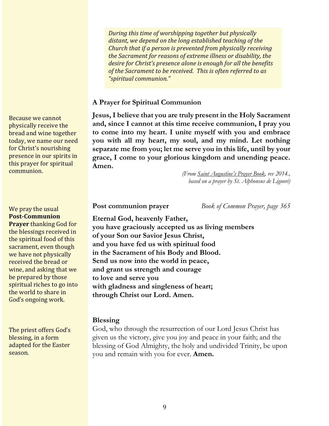*During this time of worshipping together but physically* distant, we depend on the long established teaching of the *Church that if a person is prevented from physically receiving* the Sacrament for reasons of extreme *illness* or disability, the *desire for Christ's presence alone is enough for all the benefits* of the Sacrament to be received. This is often referred to as *"spiritual communion."*

# **A Prayer for Spiritual Communion**

**Jesus, I believe that you are truly present in the Holy Sacrament and, since I cannot at this time receive communion, I pray you to come into my heart. I unite myself with you and embrace you with all my heart, my soul, and my mind. Let nothing separate me from you; let me serve you in this life, until by your grace, I come to your glorious kingdom and unending peace. Amen.**

> *(From Saint Augustine's Prayer Book, rev 2014., based on a prayer by St. Alphonsus de Liguori)*

**Post communion prayer** *Book of Common Prayer, page 365*

**Eternal God, heavenly Father, you have graciously accepted us as living members of your Son our Savior Jesus Christ, and you have fed us with spiritual food in the Sacrament of his Body and Blood. Send us now into the world in peace, and grant us strength and courage to love and serve you with gladness and singleness of heart; through Christ our Lord. Amen.**

# **Blessing**

God, who through the resurrection of our Lord Jesus Christ has given us the victory, give you joy and peace in your faith; and the blessing of God Almighty, the holy and undivided Trinity, be upon you and remain with you for ever. **Amen.**

Because we cannot physically receive the bread and wine together today, we name our need for Christ's nourishing presence in our spirits in this prayer for spiritual communion.

# We pray the usual **Post-Communion**

**Prayer** thanking God for the blessings received in the spiritual food of this sacrament, even though we have not physically received the bread or wine, and asking that we be prepared by those spiritual riches to go into the world to share in God's ongoing work.

The priest offers God's blessing, in a form adapted for the Easter season.